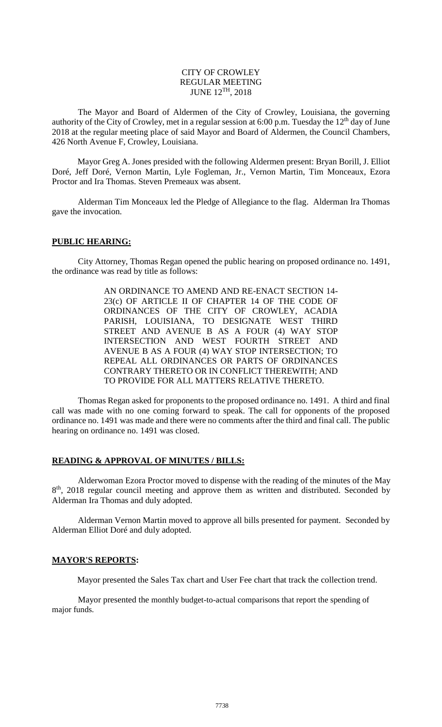#### CITY OF CROWLEY REGULAR MEETING JUNE 12TH, 2018

The Mayor and Board of Aldermen of the City of Crowley, Louisiana, the governing authority of the City of Crowley, met in a regular session at 6:00 p.m. Tuesday the 12<sup>th</sup> day of June 2018 at the regular meeting place of said Mayor and Board of Aldermen, the Council Chambers, 426 North Avenue F, Crowley, Louisiana.

Mayor Greg A. Jones presided with the following Aldermen present: Bryan Borill, J. Elliot Doré, Jeff Doré, Vernon Martin, Lyle Fogleman, Jr., Vernon Martin, Tim Monceaux, Ezora Proctor and Ira Thomas. Steven Premeaux was absent.

Alderman Tim Monceaux led the Pledge of Allegiance to the flag. Alderman Ira Thomas gave the invocation.

#### **PUBLIC HEARING:**

City Attorney, Thomas Regan opened the public hearing on proposed ordinance no. 1491, the ordinance was read by title as follows:

> AN ORDINANCE TO AMEND AND RE-ENACT SECTION 14- 23(c) OF ARTICLE II OF CHAPTER 14 OF THE CODE OF ORDINANCES OF THE CITY OF CROWLEY, ACADIA PARISH, LOUISIANA, TO DESIGNATE WEST THIRD STREET AND AVENUE B AS A FOUR (4) WAY STOP INTERSECTION AND WEST FOURTH STREET AND AVENUE B AS A FOUR (4) WAY STOP INTERSECTION; TO REPEAL ALL ORDINANCES OR PARTS OF ORDINANCES CONTRARY THERETO OR IN CONFLICT THEREWITH; AND TO PROVIDE FOR ALL MATTERS RELATIVE THERETO.

Thomas Regan asked for proponents to the proposed ordinance no. 1491. A third and final call was made with no one coming forward to speak. The call for opponents of the proposed ordinance no. 1491 was made and there were no comments after the third and final call. The public hearing on ordinance no. 1491 was closed.

#### **READING & APPROVAL OF MINUTES / BILLS:**

Alderwoman Ezora Proctor moved to dispense with the reading of the minutes of the May 8<sup>th</sup>, 2018 regular council meeting and approve them as written and distributed. Seconded by Alderman Ira Thomas and duly adopted.

Alderman Vernon Martin moved to approve all bills presented for payment. Seconded by Alderman Elliot Doré and duly adopted.

#### **MAYOR'S REPORTS:**

Mayor presented the Sales Tax chart and User Fee chart that track the collection trend.

Mayor presented the monthly budget-to-actual comparisons that report the spending of major funds.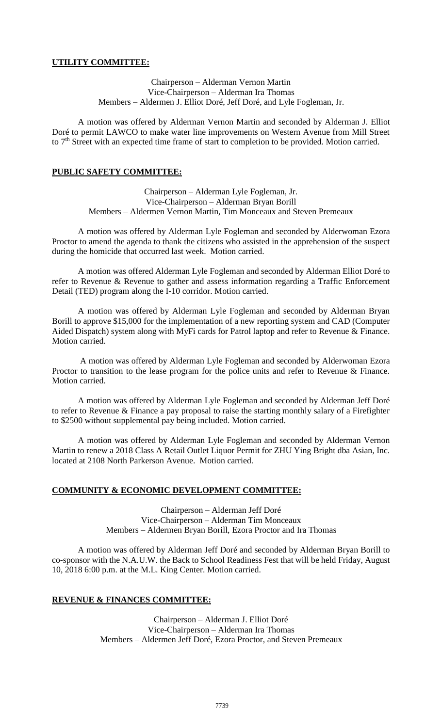# **UTILITY COMMITTEE:**

Chairperson – Alderman Vernon Martin Vice-Chairperson – Alderman Ira Thomas Members – Aldermen J. Elliot Doré, Jeff Doré, and Lyle Fogleman, Jr.

A motion was offered by Alderman Vernon Martin and seconded by Alderman J. Elliot Doré to permit LAWCO to make water line improvements on Western Avenue from Mill Street to 7<sup>th</sup> Street with an expected time frame of start to completion to be provided. Motion carried.

# **PUBLIC SAFETY COMMITTEE:**

Chairperson – Alderman Lyle Fogleman, Jr. Vice-Chairperson – Alderman Bryan Borill Members – Aldermen Vernon Martin, Tim Monceaux and Steven Premeaux

A motion was offered by Alderman Lyle Fogleman and seconded by Alderwoman Ezora Proctor to amend the agenda to thank the citizens who assisted in the apprehension of the suspect during the homicide that occurred last week. Motion carried.

A motion was offered Alderman Lyle Fogleman and seconded by Alderman Elliot Doré to refer to Revenue & Revenue to gather and assess information regarding a Traffic Enforcement Detail (TED) program along the I-10 corridor. Motion carried.

A motion was offered by Alderman Lyle Fogleman and seconded by Alderman Bryan Borill to approve \$15,000 for the implementation of a new reporting system and CAD (Computer Aided Dispatch) system along with MyFi cards for Patrol laptop and refer to Revenue & Finance. Motion carried.

A motion was offered by Alderman Lyle Fogleman and seconded by Alderwoman Ezora Proctor to transition to the lease program for the police units and refer to Revenue & Finance. Motion carried.

A motion was offered by Alderman Lyle Fogleman and seconded by Alderman Jeff Doré to refer to Revenue & Finance a pay proposal to raise the starting monthly salary of a Firefighter to \$2500 without supplemental pay being included. Motion carried.

A motion was offered by Alderman Lyle Fogleman and seconded by Alderman Vernon Martin to renew a 2018 Class A Retail Outlet Liquor Permit for ZHU Ying Bright dba Asian, Inc. located at 2108 North Parkerson Avenue. Motion carried.

# **COMMUNITY & ECONOMIC DEVELOPMENT COMMITTEE:**

Chairperson – Alderman Jeff Doré Vice-Chairperson – Alderman Tim Monceaux Members – Aldermen Bryan Borill, Ezora Proctor and Ira Thomas

A motion was offered by Alderman Jeff Doré and seconded by Alderman Bryan Borill to co-sponsor with the N.A.U.W. the Back to School Readiness Fest that will be held Friday, August 10, 2018 6:00 p.m. at the M.L. King Center. Motion carried.

# **REVENUE & FINANCES COMMITTEE:**

Chairperson – Alderman J. Elliot Doré Vice-Chairperson – Alderman Ira Thomas Members – Aldermen Jeff Doré, Ezora Proctor, and Steven Premeaux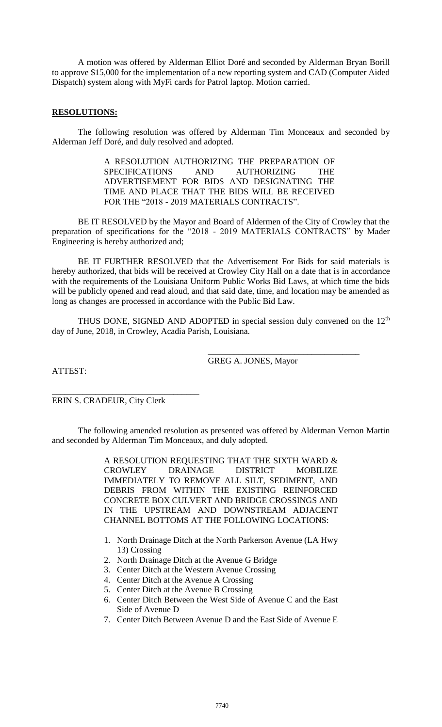A motion was offered by Alderman Elliot Doré and seconded by Alderman Bryan Borill to approve \$15,000 for the implementation of a new reporting system and CAD (Computer Aided Dispatch) system along with MyFi cards for Patrol laptop. Motion carried.

## **RESOLUTIONS:**

The following resolution was offered by Alderman Tim Monceaux and seconded by Alderman Jeff Doré, and duly resolved and adopted.

> A RESOLUTION AUTHORIZING THE PREPARATION OF SPECIFICATIONS AND AUTHORIZING THE ADVERTISEMENT FOR BIDS AND DESIGNATING THE TIME AND PLACE THAT THE BIDS WILL BE RECEIVED FOR THE "2018 - 2019 MATERIALS CONTRACTS".

BE IT RESOLVED by the Mayor and Board of Aldermen of the City of Crowley that the preparation of specifications for the "2018 - 2019 MATERIALS CONTRACTS" by Mader Engineering is hereby authorized and;

BE IT FURTHER RESOLVED that the Advertisement For Bids for said materials is hereby authorized, that bids will be received at Crowley City Hall on a date that is in accordance with the requirements of the Louisiana Uniform Public Works Bid Laws, at which time the bids will be publicly opened and read aloud, and that said date, time, and location may be amended as long as changes are processed in accordance with the Public Bid Law.

THUS DONE, SIGNED AND ADOPTED in special session duly convened on the 12<sup>th</sup> day of June, 2018, in Crowley, Acadia Parish, Louisiana.

ATTEST:

GREG A. JONES, Mayor

\_\_\_\_\_\_\_\_\_\_\_\_\_\_\_\_\_\_\_\_\_\_\_\_\_\_\_\_\_\_\_\_\_\_\_

\_\_\_\_\_\_\_\_\_\_\_\_\_\_\_\_\_\_\_\_\_\_\_\_\_\_\_\_\_\_\_\_\_\_ ERIN S. CRADEUR, City Clerk

The following amended resolution as presented was offered by Alderman Vernon Martin and seconded by Alderman Tim Monceaux, and duly adopted.

> A RESOLUTION REQUESTING THAT THE SIXTH WARD & CROWLEY DRAINAGE DISTRICT MOBILIZE IMMEDIATELY TO REMOVE ALL SILT, SEDIMENT, AND DEBRIS FROM WITHIN THE EXISTING REINFORCED CONCRETE BOX CULVERT AND BRIDGE CROSSINGS AND IN THE UPSTREAM AND DOWNSTREAM ADJACENT CHANNEL BOTTOMS AT THE FOLLOWING LOCATIONS:

- 1. North Drainage Ditch at the North Parkerson Avenue (LA Hwy 13) Crossing
- 2. North Drainage Ditch at the Avenue G Bridge
- 3. Center Ditch at the Western Avenue Crossing
- 4. Center Ditch at the Avenue A Crossing
- 5. Center Ditch at the Avenue B Crossing
- 6. Center Ditch Between the West Side of Avenue C and the East Side of Avenue D
- 7. Center Ditch Between Avenue D and the East Side of Avenue E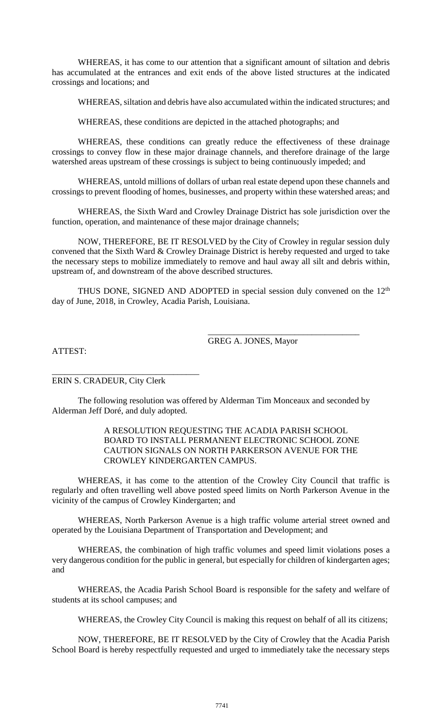WHEREAS, it has come to our attention that a significant amount of siltation and debris has accumulated at the entrances and exit ends of the above listed structures at the indicated crossings and locations; and

WHEREAS, siltation and debris have also accumulated within the indicated structures; and

WHEREAS, these conditions are depicted in the attached photographs; and

WHEREAS, these conditions can greatly reduce the effectiveness of these drainage crossings to convey flow in these major drainage channels, and therefore drainage of the large watershed areas upstream of these crossings is subject to being continuously impeded; and

WHEREAS, untold millions of dollars of urban real estate depend upon these channels and crossings to prevent flooding of homes, businesses, and property within these watershed areas; and

WHEREAS, the Sixth Ward and Crowley Drainage District has sole jurisdiction over the function, operation, and maintenance of these major drainage channels;

NOW, THEREFORE, BE IT RESOLVED by the City of Crowley in regular session duly convened that the Sixth Ward & Crowley Drainage District is hereby requested and urged to take the necessary steps to mobilize immediately to remove and haul away all silt and debris within, upstream of, and downstream of the above described structures.

THUS DONE, SIGNED AND ADOPTED in special session duly convened on the  $12<sup>th</sup>$ day of June, 2018, in Crowley, Acadia Parish, Louisiana.

GREG A. JONES, Mayor

\_\_\_\_\_\_\_\_\_\_\_\_\_\_\_\_\_\_\_\_\_\_\_\_\_\_\_\_\_\_\_\_\_\_\_

ATTEST:

\_\_\_\_\_\_\_\_\_\_\_\_\_\_\_\_\_\_\_\_\_\_\_\_\_\_\_\_\_\_\_\_\_\_ ERIN S. CRADEUR, City Clerk

The following resolution was offered by Alderman Tim Monceaux and seconded by Alderman Jeff Doré, and duly adopted.

## A RESOLUTION REQUESTING THE ACADIA PARISH SCHOOL BOARD TO INSTALL PERMANENT ELECTRONIC SCHOOL ZONE CAUTION SIGNALS ON NORTH PARKERSON AVENUE FOR THE CROWLEY KINDERGARTEN CAMPUS.

WHEREAS, it has come to the attention of the Crowley City Council that traffic is regularly and often travelling well above posted speed limits on North Parkerson Avenue in the vicinity of the campus of Crowley Kindergarten; and

WHEREAS, North Parkerson Avenue is a high traffic volume arterial street owned and operated by the Louisiana Department of Transportation and Development; and

WHEREAS, the combination of high traffic volumes and speed limit violations poses a very dangerous condition for the public in general, but especially for children of kindergarten ages; and

WHEREAS, the Acadia Parish School Board is responsible for the safety and welfare of students at its school campuses; and

WHEREAS, the Crowley City Council is making this request on behalf of all its citizens;

NOW, THEREFORE, BE IT RESOLVED by the City of Crowley that the Acadia Parish School Board is hereby respectfully requested and urged to immediately take the necessary steps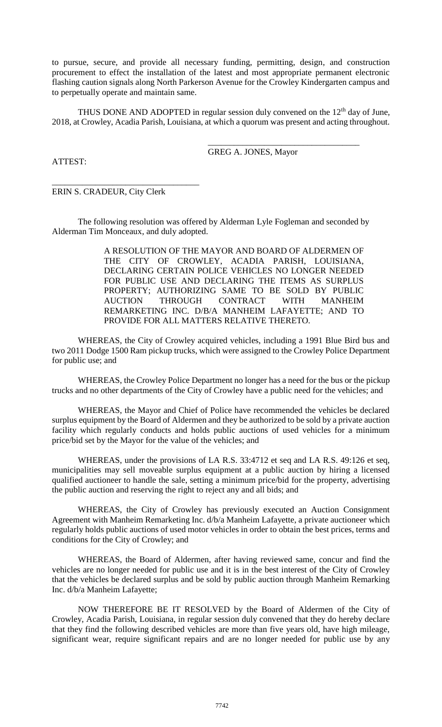to pursue, secure, and provide all necessary funding, permitting, design, and construction procurement to effect the installation of the latest and most appropriate permanent electronic flashing caution signals along North Parkerson Avenue for the Crowley Kindergarten campus and to perpetually operate and maintain same.

THUS DONE AND ADOPTED in regular session duly convened on the  $12<sup>th</sup>$  day of June, 2018, at Crowley, Acadia Parish, Louisiana, at which a quorum was present and acting throughout.

GREG A. JONES, Mayor

\_\_\_\_\_\_\_\_\_\_\_\_\_\_\_\_\_\_\_\_\_\_\_\_\_\_\_\_\_\_\_\_\_\_\_

ATTEST:

ERIN S. CRADEUR, City Clerk

\_\_\_\_\_\_\_\_\_\_\_\_\_\_\_\_\_\_\_\_\_\_\_\_\_\_\_\_\_\_\_\_\_\_

The following resolution was offered by Alderman Lyle Fogleman and seconded by Alderman Tim Monceaux, and duly adopted.

> A RESOLUTION OF THE MAYOR AND BOARD OF ALDERMEN OF THE CITY OF CROWLEY, ACADIA PARISH, LOUISIANA, DECLARING CERTAIN POLICE VEHICLES NO LONGER NEEDED FOR PUBLIC USE AND DECLARING THE ITEMS AS SURPLUS PROPERTY; AUTHORIZING SAME TO BE SOLD BY PUBLIC AUCTION THROUGH CONTRACT WITH MANHEIM REMARKETING INC. D/B/A MANHEIM LAFAYETTE; AND TO PROVIDE FOR ALL MATTERS RELATIVE THERETO.

WHEREAS, the City of Crowley acquired vehicles, including a 1991 Blue Bird bus and two 2011 Dodge 1500 Ram pickup trucks, which were assigned to the Crowley Police Department for public use; and

WHEREAS, the Crowley Police Department no longer has a need for the bus or the pickup trucks and no other departments of the City of Crowley have a public need for the vehicles; and

WHEREAS, the Mayor and Chief of Police have recommended the vehicles be declared surplus equipment by the Board of Aldermen and they be authorized to be sold by a private auction facility which regularly conducts and holds public auctions of used vehicles for a minimum price/bid set by the Mayor for the value of the vehicles; and

WHEREAS, under the provisions of LA R.S. 33:4712 et seq and LA R.S. 49:126 et seq, municipalities may sell moveable surplus equipment at a public auction by hiring a licensed qualified auctioneer to handle the sale, setting a minimum price/bid for the property, advertising the public auction and reserving the right to reject any and all bids; and

WHEREAS, the City of Crowley has previously executed an Auction Consignment Agreement with Manheim Remarketing Inc. d/b/a Manheim Lafayette, a private auctioneer which regularly holds public auctions of used motor vehicles in order to obtain the best prices, terms and conditions for the City of Crowley; and

WHEREAS, the Board of Aldermen, after having reviewed same, concur and find the vehicles are no longer needed for public use and it is in the best interest of the City of Crowley that the vehicles be declared surplus and be sold by public auction through Manheim Remarking Inc. d/b/a Manheim Lafayette;

NOW THEREFORE BE IT RESOLVED by the Board of Aldermen of the City of Crowley, Acadia Parish, Louisiana, in regular session duly convened that they do hereby declare that they find the following described vehicles are more than five years old, have high mileage, significant wear, require significant repairs and are no longer needed for public use by any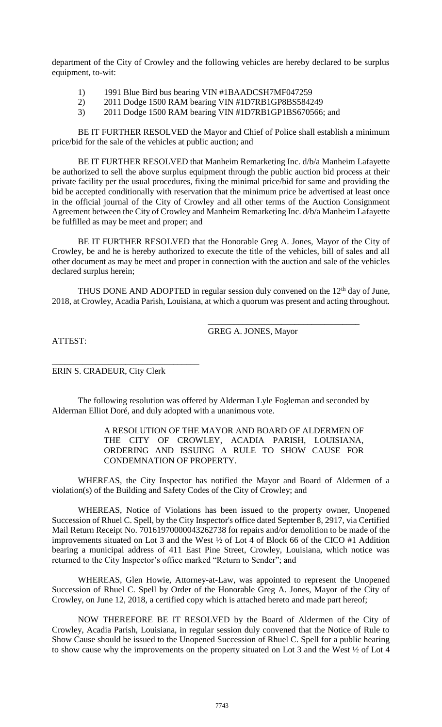department of the City of Crowley and the following vehicles are hereby declared to be surplus equipment, to-wit:

- 1) 1991 Blue Bird bus bearing VIN #1BAADCSH7MF047259
- 2) 2011 Dodge 1500 RAM bearing VIN #1D7RB1GP8BS584249
- 3) 2011 Dodge 1500 RAM bearing VIN #1D7RB1GP1BS670566; and

BE IT FURTHER RESOLVED the Mayor and Chief of Police shall establish a minimum price/bid for the sale of the vehicles at public auction; and

BE IT FURTHER RESOLVED that Manheim Remarketing Inc. d/b/a Manheim Lafayette be authorized to sell the above surplus equipment through the public auction bid process at their private facility per the usual procedures, fixing the minimal price/bid for same and providing the bid be accepted conditionally with reservation that the minimum price be advertised at least once in the official journal of the City of Crowley and all other terms of the Auction Consignment Agreement between the City of Crowley and Manheim Remarketing Inc. d/b/a Manheim Lafayette be fulfilled as may be meet and proper; and

BE IT FURTHER RESOLVED that the Honorable Greg A. Jones, Mayor of the City of Crowley, be and he is hereby authorized to execute the title of the vehicles, bill of sales and all other document as may be meet and proper in connection with the auction and sale of the vehicles declared surplus herein;

THUS DONE AND ADOPTED in regular session duly convened on the  $12<sup>th</sup>$  day of June, 2018, at Crowley, Acadia Parish, Louisiana, at which a quorum was present and acting throughout.

GREG A. JONES, Mayor

\_\_\_\_\_\_\_\_\_\_\_\_\_\_\_\_\_\_\_\_\_\_\_\_\_\_\_\_\_\_\_\_\_\_\_

ATTEST:

\_\_\_\_\_\_\_\_\_\_\_\_\_\_\_\_\_\_\_\_\_\_\_\_\_\_\_\_\_\_\_\_\_\_ ERIN S. CRADEUR, City Clerk

The following resolution was offered by Alderman Lyle Fogleman and seconded by Alderman Elliot Doré, and duly adopted with a unanimous vote.

#### A RESOLUTION OF THE MAYOR AND BOARD OF ALDERMEN OF THE CITY OF CROWLEY, ACADIA PARISH, LOUISIANA, ORDERING AND ISSUING A RULE TO SHOW CAUSE FOR CONDEMNATION OF PROPERTY.

WHEREAS, the City Inspector has notified the Mayor and Board of Aldermen of a violation(s) of the Building and Safety Codes of the City of Crowley; and

WHEREAS, Notice of Violations has been issued to the property owner, Unopened Succession of Rhuel C. Spell, by the City Inspector's office dated September 8, 2917, via Certified Mail Return Receipt No. 70161970000043262738 for repairs and/or demolition to be made of the improvements situated on Lot 3 and the West ½ of Lot 4 of Block 66 of the CICO #1 Addition bearing a municipal address of 411 East Pine Street, Crowley, Louisiana, which notice was returned to the City Inspector's office marked "Return to Sender"; and

WHEREAS, Glen Howie, Attorney-at-Law, was appointed to represent the Unopened Succession of Rhuel C. Spell by Order of the Honorable Greg A. Jones, Mayor of the City of Crowley, on June 12, 2018, a certified copy which is attached hereto and made part hereof;

NOW THEREFORE BE IT RESOLVED by the Board of Aldermen of the City of Crowley, Acadia Parish, Louisiana, in regular session duly convened that the Notice of Rule to Show Cause should be issued to the Unopened Succession of Rhuel C. Spell for a public hearing to show cause why the improvements on the property situated on Lot 3 and the West ½ of Lot 4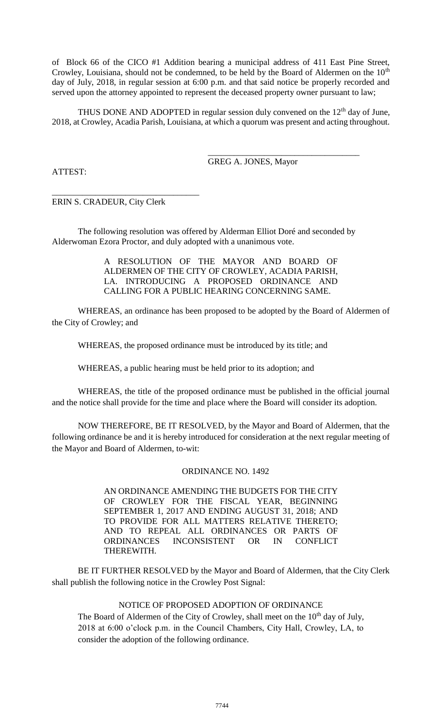of Block 66 of the CICO #1 Addition bearing a municipal address of 411 East Pine Street, Crowley, Louisiana, should not be condemned, to be held by the Board of Aldermen on the 10<sup>th</sup> day of July, 2018, in regular session at 6:00 p.m. and that said notice be properly recorded and served upon the attorney appointed to represent the deceased property owner pursuant to law;

THUS DONE AND ADOPTED in regular session duly convened on the  $12<sup>th</sup>$  day of June, 2018, at Crowley, Acadia Parish, Louisiana, at which a quorum was present and acting throughout.

GREG A. JONES, Mayor

\_\_\_\_\_\_\_\_\_\_\_\_\_\_\_\_\_\_\_\_\_\_\_\_\_\_\_\_\_\_\_\_\_\_\_

ATTEST:

\_\_\_\_\_\_\_\_\_\_\_\_\_\_\_\_\_\_\_\_\_\_\_\_\_\_\_\_\_\_\_\_\_\_ ERIN S. CRADEUR, City Clerk

The following resolution was offered by Alderman Elliot Doré and seconded by Alderwoman Ezora Proctor, and duly adopted with a unanimous vote.

> A RESOLUTION OF THE MAYOR AND BOARD OF ALDERMEN OF THE CITY OF CROWLEY, ACADIA PARISH, LA. INTRODUCING A PROPOSED ORDINANCE AND CALLING FOR A PUBLIC HEARING CONCERNING SAME.

WHEREAS, an ordinance has been proposed to be adopted by the Board of Aldermen of the City of Crowley; and

WHEREAS, the proposed ordinance must be introduced by its title; and

WHEREAS, a public hearing must be held prior to its adoption; and

WHEREAS, the title of the proposed ordinance must be published in the official journal and the notice shall provide for the time and place where the Board will consider its adoption.

NOW THEREFORE, BE IT RESOLVED, by the Mayor and Board of Aldermen, that the following ordinance be and it is hereby introduced for consideration at the next regular meeting of the Mayor and Board of Aldermen, to-wit:

## ORDINANCE NO. 1492

AN ORDINANCE AMENDING THE BUDGETS FOR THE CITY OF CROWLEY FOR THE FISCAL YEAR, BEGINNING SEPTEMBER 1, 2017 AND ENDING AUGUST 31, 2018; AND TO PROVIDE FOR ALL MATTERS RELATIVE THERETO; AND TO REPEAL ALL ORDINANCES OR PARTS OF ORDINANCES INCONSISTENT OR IN CONFLICT THEREWITH.

BE IT FURTHER RESOLVED by the Mayor and Board of Aldermen, that the City Clerk shall publish the following notice in the Crowley Post Signal:

# NOTICE OF PROPOSED ADOPTION OF ORDINANCE

The Board of Aldermen of the City of Crowley, shall meet on the 10<sup>th</sup> day of July, 2018 at 6:00 o'clock p.m. in the Council Chambers, City Hall, Crowley, LA, to consider the adoption of the following ordinance.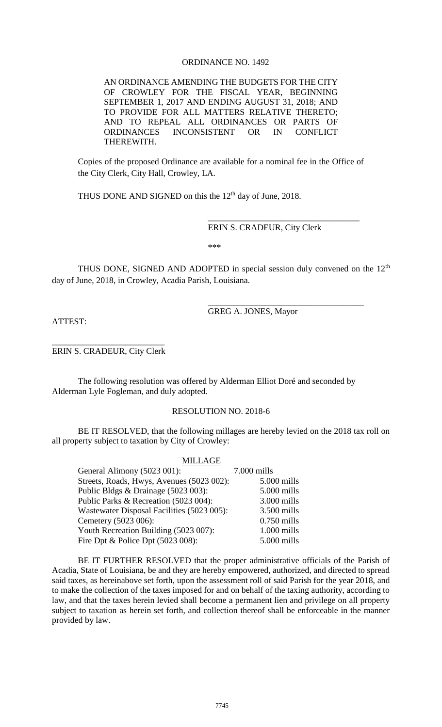# ORDINANCE NO. 1492

AN ORDINANCE AMENDING THE BUDGETS FOR THE CITY OF CROWLEY FOR THE FISCAL YEAR, BEGINNING SEPTEMBER 1, 2017 AND ENDING AUGUST 31, 2018; AND TO PROVIDE FOR ALL MATTERS RELATIVE THERETO; AND TO REPEAL ALL ORDINANCES OR PARTS OF ORDINANCES INCONSISTENT OR IN CONFLICT THEREWITH.

Copies of the proposed Ordinance are available for a nominal fee in the Office of the City Clerk, City Hall, Crowley, LA.

THUS DONE AND SIGNED on this the  $12<sup>th</sup>$  day of June, 2018.

ERIN S. CRADEUR, City Clerk

\_\_\_\_\_\_\_\_\_\_\_\_\_\_\_\_\_\_\_\_\_\_\_\_\_\_\_\_\_\_\_\_\_\_\_

\_\_\_\_\_\_\_\_\_\_\_\_\_\_\_\_\_\_\_\_\_\_\_\_\_\_\_\_\_\_\_\_\_\_\_\_

\*\*\*

THUS DONE, SIGNED AND ADOPTED in special session duly convened on the  $12<sup>th</sup>$ day of June, 2018, in Crowley, Acadia Parish, Louisiana.

GREG A. JONES, Mayor

ATTEST:

\_\_\_\_\_\_\_\_\_\_\_\_\_\_\_\_\_\_\_\_\_\_\_\_\_\_ ERIN S. CRADEUR, City Clerk

The following resolution was offered by Alderman Elliot Doré and seconded by Alderman Lyle Fogleman, and duly adopted.

# RESOLUTION NO. 2018-6

BE IT RESOLVED, that the following millages are hereby levied on the 2018 tax roll on all property subject to taxation by City of Crowley:

| <b>MILLAGE</b>                             |               |
|--------------------------------------------|---------------|
| General Alimony (5023 001):                | 7.000 mills   |
| Streets, Roads, Hwys, Avenues (5023 002):  | 5.000 mills   |
| Public Bldgs & Drainage (5023 003):        | 5.000 mills   |
| Public Parks & Recreation (5023 004):      | $3.000$ mills |
| Wastewater Disposal Facilities (5023 005): | $3.500$ mills |
| Cemetery (5023 006):                       | $0.750$ mills |
| Youth Recreation Building (5023 007):      | $1.000$ mills |
| Fire Dpt $\&$ Police Dpt (5023 008):       | 5.000 mills   |

BE IT FURTHER RESOLVED that the proper administrative officials of the Parish of Acadia, State of Louisiana, be and they are hereby empowered, authorized, and directed to spread said taxes, as hereinabove set forth, upon the assessment roll of said Parish for the year 2018, and to make the collection of the taxes imposed for and on behalf of the taxing authority, according to law, and that the taxes herein levied shall become a permanent lien and privilege on all property subject to taxation as herein set forth, and collection thereof shall be enforceable in the manner provided by law.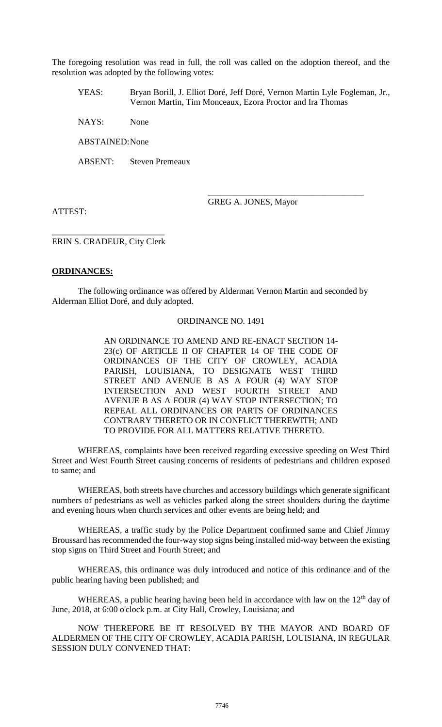The foregoing resolution was read in full, the roll was called on the adoption thereof, and the resolution was adopted by the following votes:

YEAS: Bryan Borill, J. Elliot Doré, Jeff Doré, Vernon Martin Lyle Fogleman, Jr., Vernon Martin, Tim Monceaux, Ezora Proctor and Ira Thomas

NAYS: None

ABSTAINED:None

ABSENT: Steven Premeaux

ATTEST:

GREG A. JONES, Mayor

\_\_\_\_\_\_\_\_\_\_\_\_\_\_\_\_\_\_\_\_\_\_\_\_\_\_\_\_\_\_\_\_\_\_\_\_

\_\_\_\_\_\_\_\_\_\_\_\_\_\_\_\_\_\_\_\_\_\_\_\_\_\_ ERIN S. CRADEUR, City Clerk

## **ORDINANCES:**

The following ordinance was offered by Alderman Vernon Martin and seconded by Alderman Elliot Doré, and duly adopted.

#### ORDINANCE NO. 1491

AN ORDINANCE TO AMEND AND RE-ENACT SECTION 14- 23(c) OF ARTICLE II OF CHAPTER 14 OF THE CODE OF ORDINANCES OF THE CITY OF CROWLEY, ACADIA PARISH, LOUISIANA, TO DESIGNATE WEST THIRD STREET AND AVENUE B AS A FOUR (4) WAY STOP INTERSECTION AND WEST FOURTH STREET AND AVENUE B AS A FOUR (4) WAY STOP INTERSECTION; TO REPEAL ALL ORDINANCES OR PARTS OF ORDINANCES CONTRARY THERETO OR IN CONFLICT THEREWITH; AND TO PROVIDE FOR ALL MATTERS RELATIVE THERETO.

WHEREAS, complaints have been received regarding excessive speeding on West Third Street and West Fourth Street causing concerns of residents of pedestrians and children exposed to same; and

WHEREAS, both streets have churches and accessory buildings which generate significant numbers of pedestrians as well as vehicles parked along the street shoulders during the daytime and evening hours when church services and other events are being held; and

WHEREAS, a traffic study by the Police Department confirmed same and Chief Jimmy Broussard has recommended the four-way stop signs being installed mid-way between the existing stop signs on Third Street and Fourth Street; and

WHEREAS, this ordinance was duly introduced and notice of this ordinance and of the public hearing having been published; and

WHEREAS, a public hearing having been held in accordance with law on the  $12<sup>th</sup>$  day of June, 2018, at 6:00 o'clock p.m. at City Hall, Crowley, Louisiana; and

NOW THEREFORE BE IT RESOLVED BY THE MAYOR AND BOARD OF ALDERMEN OF THE CITY OF CROWLEY, ACADIA PARISH, LOUISIANA, IN REGULAR SESSION DULY CONVENED THAT: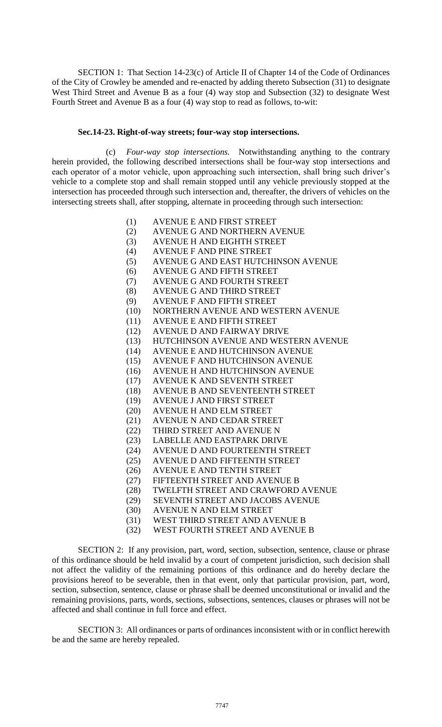SECTION 1: That Section 14-23(c) of Article II of Chapter 14 of the Code of Ordinances of the City of Crowley be amended and re-enacted by adding thereto Subsection (31) to designate West Third Street and Avenue B as a four (4) way stop and Subsection (32) to designate West Fourth Street and Avenue B as a four (4) way stop to read as follows, to-wit:

#### **Sec.14-23. Right-of-way streets; four-way stop intersections.**

(c) *Four-way stop intersections.* Notwithstanding anything to the contrary herein provided, the following described intersections shall be four-way stop intersections and each operator of a motor vehicle, upon approaching such intersection, shall bring such driver's vehicle to a complete stop and shall remain stopped until any vehicle previously stopped at the intersection has proceeded through such intersection and, thereafter, the drivers of vehicles on the intersecting streets shall, after stopping, alternate in proceeding through such intersection:

- (1) AVENUE E AND FIRST STREET
- (2) AVENUE G AND NORTHERN AVENUE
- (3) AVENUE H AND EIGHTH STREET
- (4) AVENUE F AND PINE STREET
- (5) AVENUE G AND EAST HUTCHINSON AVENUE
- (6) AVENUE G AND FIFTH STREET
- (7) AVENUE G AND FOURTH STREET
- (8) AVENUE G AND THIRD STREET
- (9) AVENUE F AND FIFTH STREET
- (10) NORTHERN AVENUE AND WESTERN AVENUE
- (11) AVENUE E AND FIFTH STREET
- (12) AVENUE D AND FAIRWAY DRIVE
- (13) HUTCHINSON AVENUE AND WESTERN AVENUE
- (14) AVENUE E AND HUTCHINSON AVENUE
- (15) AVENUE F AND HUTCHINSON AVENUE
- (16) AVENUE H AND HUTCHINSON AVENUE
- (17) AVENUE K AND SEVENTH STREET
- (18) AVENUE B AND SEVENTEENTH STREET
- (19) AVENUE J AND FIRST STREET
- (20) AVENUE H AND ELM STREET
- (21) AVENUE N AND CEDAR STREET
- (22) THIRD STREET AND AVENUE N
- (23) LABELLE AND EASTPARK DRIVE
- (24) AVENUE D AND FOURTEENTH STREET
- (25) AVENUE D AND FIFTEENTH STREET
- (26) AVENUE E AND TENTH STREET
- (27) FIFTEENTH STREET AND AVENUE B
- (28) TWELFTH STREET AND CRAWFORD AVENUE
- (29) SEVENTH STREET AND JACOBS AVENUE
- (30) AVENUE N AND ELM STREET
- (31) WEST THIRD STREET AND AVENUE B
- (32) WEST FOURTH STREET AND AVENUE B

SECTION 2: If any provision, part, word, section, subsection, sentence, clause or phrase of this ordinance should be held invalid by a court of competent jurisdiction, such decision shall not affect the validity of the remaining portions of this ordinance and do hereby declare the provisions hereof to be severable, then in that event, only that particular provision, part, word, section, subsection, sentence, clause or phrase shall be deemed unconstitutional or invalid and the remaining provisions, parts, words, sections, subsections, sentences, clauses or phrases will not be affected and shall continue in full force and effect.

SECTION 3: All ordinances or parts of ordinances inconsistent with or in conflict herewith be and the same are hereby repealed.